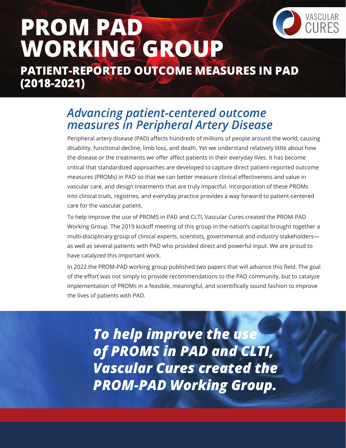

# **PROM PAD WORKING GROUP PATIENT-REPORTED OUTCOME MEASURES IN PAD**

**(2018-2021)** 

## *Advancing patient-centered outcome measures in Peripheral Artery Disease*

Peripheral artery disease (PAD) affects hundreds of millions of people around the world, causing disability, functional decline, limb loss, and death. Yet we understand relatively little about how the disease or the treatments we offer affect patients in their everyday lives. It has become critical that standardized approaches are developed to capture direct patient-reported outcome measures (PROMs) in PAD so that we can better measure clinical effectiveness and value in vascular care, and design treatments that are truly impactful. Incorporation of these PROMs into clinical trials, registries, and everyday practice provides a way forward to patient-centered care for the vascular patient.

To help improve the use of PROMS in PAD and CLTI, Vascular Cures created the PROM-PAD Working Group. The 2019 kickoff meeting of this group in the nation's capital brought together a multi-disciplinary group of clinical experts, scientists, governmental and industry stakeholders as well as several patients with PAD who provided direct and powerful input. We are proud to have catalyzed this important work.

In 2022 the PROM-PAD working group published two papers that will advance this field. The goal of the effort was not simply to provide recommendations to the PAD community, but to catalyze implementation of PROMs in a feasible, meaningful, and scientifically sound fashion to improve the lives of patients with PAD.

*To help improve the use of PROMS in PAD and CLTI, Vascular Cures created the PROM-PAD Working Group.*